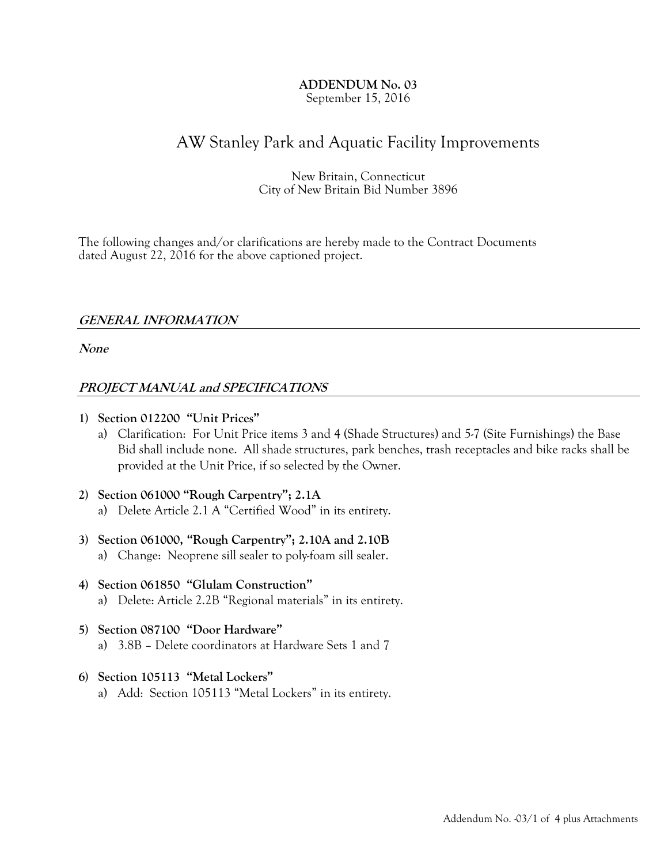### ADDENDUM No. 03 September 15, 2016

# AW Stanley Park and Aquatic Facility Improvements

# New Britain, Connecticut City of New Britain Bid Number 3896

The following changes and/or clarifications are hereby made to the Contract Documents dated August  $22$ ,  $2016$  for the above captioned project.

# GENERAL INFORMATION

None

# PROJECT MANUAL and SPECIFICATIONS

- 1) Section 012200 "Unit Prices"
	- a) Clarification: For Unit Price items 3 and 4 (Shade Structures) and 5-7 (Site Furnishings) the Base Bid shall include none. All shade structures, park benches, trash receptacles and bike racks shall be provided at the Unit Price, if so selected by the Owner.
- 2) Section 061000 "Rough Carpentry"; 2.1A a) Delete Article 2.1 A "Certified Wood" in its entirety.
- 3) Section 061000, "Rough Carpentry"; 2.10A and 2.10B
	- a) Change: Neoprene sill sealer to poly-foam sill sealer.
- 4) Section 061850 "Glulam Construction" a) Delete: Article 2.2B "Regional materials" in its entirety.
- 5) Section 087100 "Door Hardware" a) 3.8B – Delete coordinators at Hardware Sets 1 and 7

# 6) Section 105113 "Metal Lockers"

a) Add: Section 105113 "Metal Lockers" in its entirety.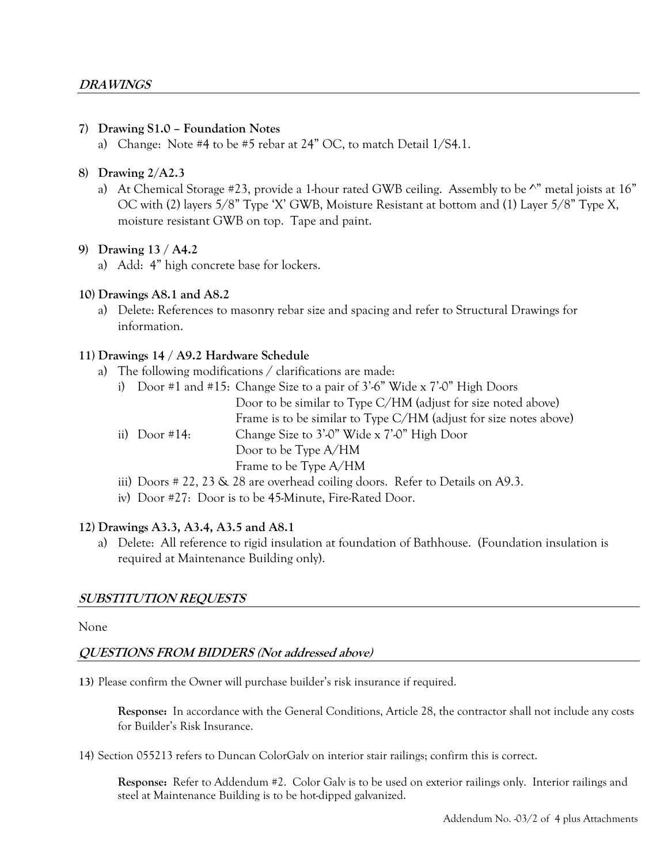# 7) Drawing S1.0 – Foundation Notes

a) Change: Note #4 to be #5 rebar at 24" OC, to match Detail 1/S4.1.

### 8) Drawing 2/A2.3

a) At Chemical Storage #23, provide a 1-hour rated GWB ceiling. Assembly to be  $\wedge$ " metal joists at 16" OC with (2) layers 5/8" Type 'X' GWB, Moisture Resistant at bottom and (1) Layer 5/8" Type X, moisture resistant GWB on top. Tape and paint.

# 9) Drawing 13 / A4.2

a) Add: 4" high concrete base for lockers.

# 10) Drawings A8.1 and A8.2

a) Delete: References to masonry rebar size and spacing and refer to Structural Drawings for information.

# 11) Drawings 14 / A9.2 Hardware Schedule

a) The following modifications / clarifications are made:

|               | i) Door #1 and #15: Change Size to a pair of $3'6''$ Wide x $7'0''$ High Doors |
|---------------|--------------------------------------------------------------------------------|
|               | Door to be similar to Type C/HM (adjust for size noted above)                  |
|               | Frame is to be similar to Type C/HM (adjust for size notes above)              |
| ii) Door #14: | Change Size to 3'-0" Wide x 7'-0" High Door                                    |
|               | Door to be Type $A/HM$                                                         |
|               | Frame to be Type A/HM                                                          |
|               | iii) Doors # 22, 23 & 28 are overhead coiling doors. Refer to Details on A9.3. |

iv) Door #27: Door is to be 45-Minute, Fire-Rated Door.

# 12) Drawings A3.3, A3.4, A3.5 and A8.1

a) Delete: All reference to rigid insulation at foundation of Bathhouse. (Foundation insulation is required at Maintenance Building only).

# SUBSTITUTION REQUESTS

### None

# QUESTIONS FROM BIDDERS (Not addressed above)

13) Please confirm the Owner will purchase builder's risk insurance if required.

Response: In accordance with the General Conditions, Article 28, the contractor shall not include any costs for Builder's Risk Insurance.

14) Section 055213 refers to Duncan ColorGalv on interior stair railings; confirm this is correct.

Response: Refer to Addendum #2. Color Galv is to be used on exterior railings only. Interior railings and steel at Maintenance Building is to be hot-dipped galvanized.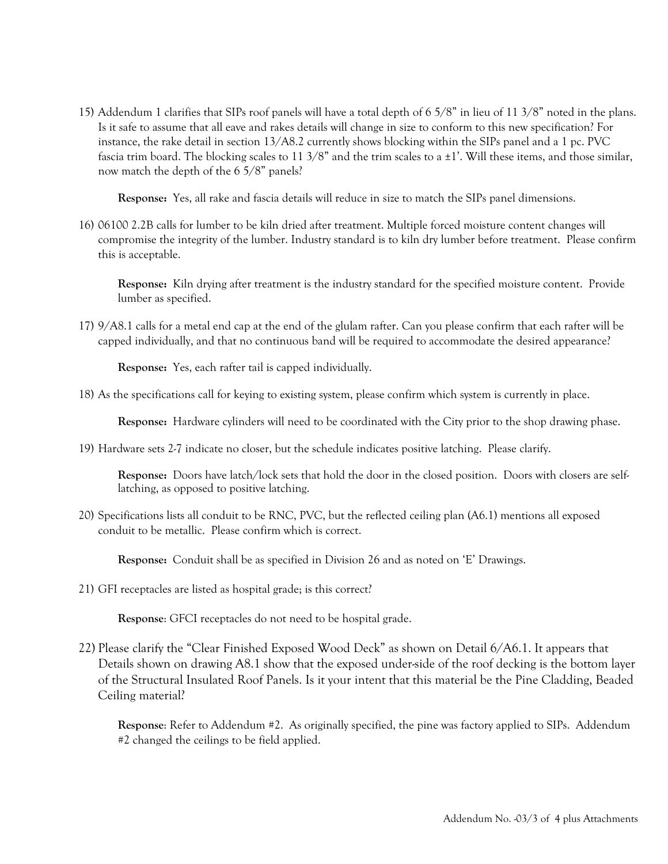15) Addendum 1 clarifies that SIPs roof panels will have a total depth of 6 5/8" in lieu of 11 3/8" noted in the plans. Is it safe to assume that all eave and rakes details will change in size to conform to this new specification? For instance, the rake detail in section 13/A8.2 currently shows blocking within the SIPs panel and a 1 pc. PVC fascia trim board. The blocking scales to 11  $3/8$ " and the trim scales to a  $\pm 1$ '. Will these items, and those similar, now match the depth of the 6 5/8" panels?

Response: Yes, all rake and fascia details will reduce in size to match the SIPs panel dimensions.

16) 06100 2.2B calls for lumber to be kiln dried after treatment. Multiple forced moisture content changes will compromise the integrity of the lumber. Industry standard is to kiln dry lumber before treatment. Please confirm this is acceptable.

Response: Kiln drying after treatment is the industry standard for the specified moisture content. Provide lumber as specified.

17) 9/A8.1 calls for a metal end cap at the end of the glulam rafter. Can you please confirm that each rafter will be capped individually, and that no continuous band will be required to accommodate the desired appearance?

Response: Yes, each rafter tail is capped individually.

18) As the specifications call for keying to existing system, please confirm which system is currently in place.

Response: Hardware cylinders will need to be coordinated with the City prior to the shop drawing phase.

19) Hardware sets 2-7 indicate no closer, but the schedule indicates positive latching. Please clarify.

Response: Doors have latch/lock sets that hold the door in the closed position. Doors with closers are selflatching, as opposed to positive latching.

20) Specifications lists all conduit to be RNC, PVC, but the reflected ceiling plan (A6.1) mentions all exposed conduit to be metallic. Please confirm which is correct.

Response: Conduit shall be as specified in Division 26 and as noted on 'E' Drawings.

21) GFI receptacles are listed as hospital grade; is this correct?

Response: GFCI receptacles do not need to be hospital grade.

22) Please clarify the "Clear Finished Exposed Wood Deck" as shown on Detail 6/A6.1. It appears that Details shown on drawing A8.1 show that the exposed under-side of the roof decking is the bottom layer of the Structural Insulated Roof Panels. Is it your intent that this material be the Pine Cladding, Beaded Ceiling material?

Response: Refer to Addendum #2. As originally specified, the pine was factory applied to SIPs. Addendum #2 changed the ceilings to be field applied.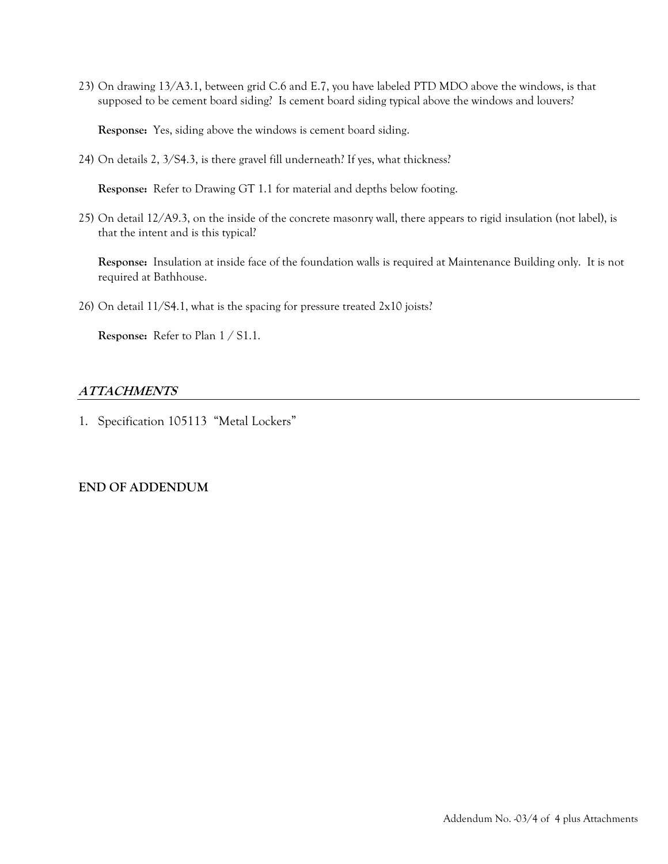23) On drawing 13/A3.1, between grid C.6 and E.7, you have labeled PTD MDO above the windows, is that supposed to be cement board siding? Is cement board siding typical above the windows and louvers?

Response: Yes, siding above the windows is cement board siding.

24) On details 2, 3/S4.3, is there gravel fill underneath? If yes, what thickness?

Response: Refer to Drawing GT 1.1 for material and depths below footing.

25) On detail 12/A9.3, on the inside of the concrete masonry wall, there appears to rigid insulation (not label), is that the intent and is this typical?

Response: Insulation at inside face of the foundation walls is required at Maintenance Building only. It is not required at Bathhouse.

26) On detail 11/S4.1, what is the spacing for pressure treated 2x10 joists?

Response: Refer to Plan 1 / S1.1.

# **ATTACHMENTS**

1. Specification 105113 "Metal Lockers"

# END OF ADDENDUM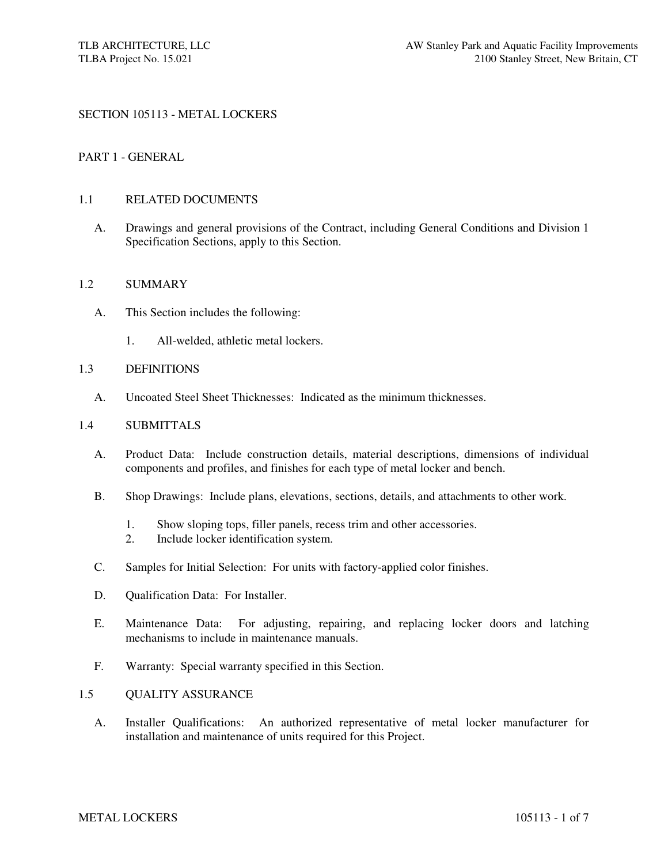### SECTION 105113 - METAL LOCKERS

#### PART 1 - GENERAL

#### 1.1 RELATED DOCUMENTS

A. Drawings and general provisions of the Contract, including General Conditions and Division 1 Specification Sections, apply to this Section.

#### 1.2 SUMMARY

- A. This Section includes the following:
	- 1. All-welded, athletic metal lockers.

#### 1.3 DEFINITIONS

A. Uncoated Steel Sheet Thicknesses: Indicated as the minimum thicknesses.

#### 1.4 SUBMITTALS

- A. Product Data: Include construction details, material descriptions, dimensions of individual components and profiles, and finishes for each type of metal locker and bench.
- B. Shop Drawings: Include plans, elevations, sections, details, and attachments to other work.
	- 1. Show sloping tops, filler panels, recess trim and other accessories.
	- 2. Include locker identification system.
- C. Samples for Initial Selection: For units with factory-applied color finishes.
- D. Qualification Data: For Installer.
- E. Maintenance Data: For adjusting, repairing, and replacing locker doors and latching mechanisms to include in maintenance manuals.
- F. Warranty: Special warranty specified in this Section.

#### 1.5 QUALITY ASSURANCE

A. Installer Qualifications: An authorized representative of metal locker manufacturer for installation and maintenance of units required for this Project.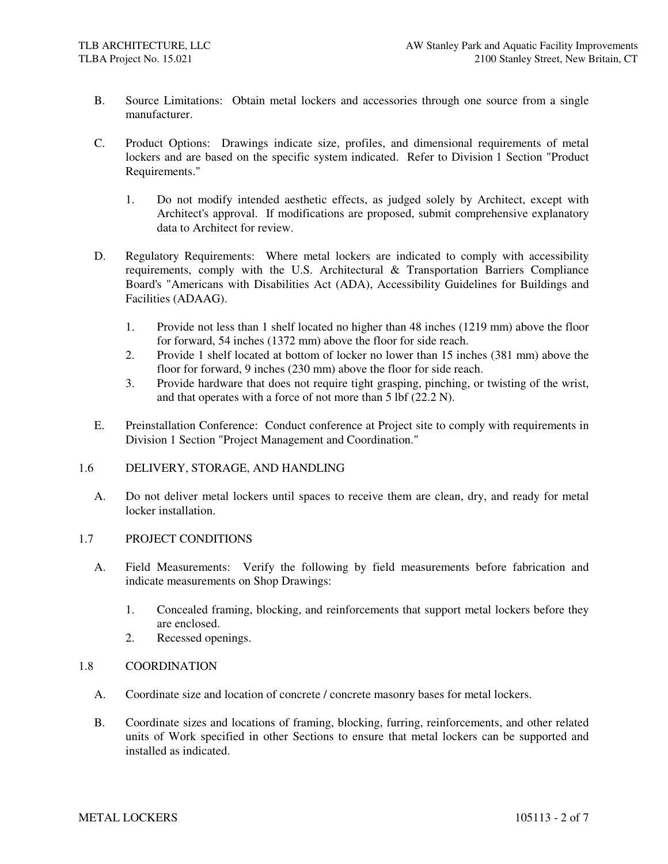- B. Source Limitations: Obtain metal lockers and accessories through one source from a single manufacturer.
- C. Product Options: Drawings indicate size, profiles, and dimensional requirements of metal lockers and are based on the specific system indicated. Refer to Division 1 Section "Product Requirements."
	- 1. Do not modify intended aesthetic effects, as judged solely by Architect, except with Architect's approval. If modifications are proposed, submit comprehensive explanatory data to Architect for review.
- D. Regulatory Requirements: Where metal lockers are indicated to comply with accessibility requirements, comply with the U.S. Architectural & Transportation Barriers Compliance Board's "Americans with Disabilities Act (ADA), Accessibility Guidelines for Buildings and Facilities (ADAAG).
	- 1. Provide not less than 1 shelf located no higher than 48 inches (1219 mm) above the floor for forward, 54 inches (1372 mm) above the floor for side reach.
	- 2. Provide 1 shelf located at bottom of locker no lower than 15 inches (381 mm) above the floor for forward, 9 inches (230 mm) above the floor for side reach.
	- 3. Provide hardware that does not require tight grasping, pinching, or twisting of the wrist, and that operates with a force of not more than 5 lbf (22.2 N).
- E. Preinstallation Conference: Conduct conference at Project site to comply with requirements in Division 1 Section "Project Management and Coordination."

### 1.6 DELIVERY, STORAGE, AND HANDLING

A. Do not deliver metal lockers until spaces to receive them are clean, dry, and ready for metal locker installation.

#### 1.7 PROJECT CONDITIONS

- A. Field Measurements: Verify the following by field measurements before fabrication and indicate measurements on Shop Drawings:
	- 1. Concealed framing, blocking, and reinforcements that support metal lockers before they are enclosed.
	- 2. Recessed openings.

### 1.8 COORDINATION

- A. Coordinate size and location of concrete / concrete masonry bases for metal lockers.
- B. Coordinate sizes and locations of framing, blocking, furring, reinforcements, and other related units of Work specified in other Sections to ensure that metal lockers can be supported and installed as indicated.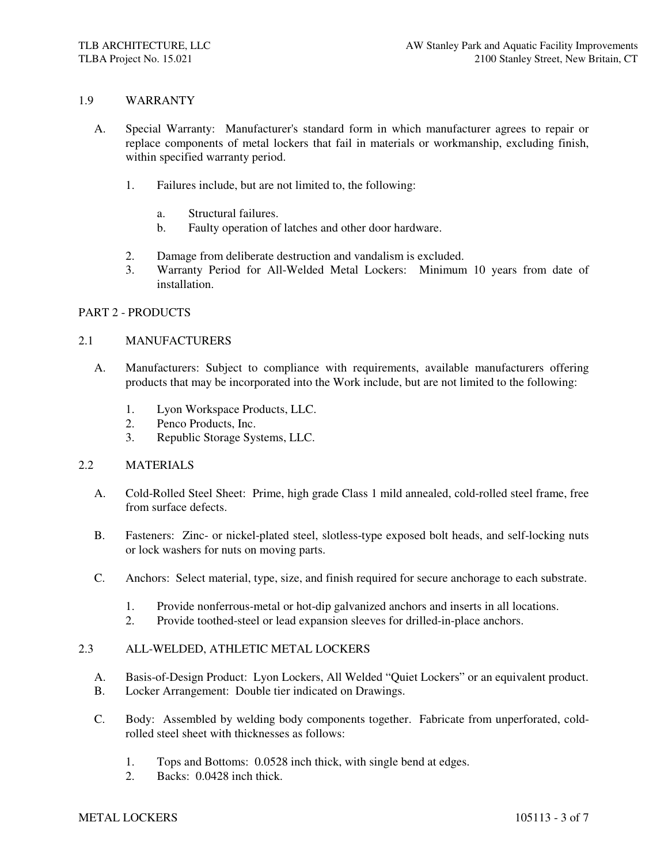### 1.9 WARRANTY

- A. Special Warranty: Manufacturer's standard form in which manufacturer agrees to repair or replace components of metal lockers that fail in materials or workmanship, excluding finish, within specified warranty period.
	- 1. Failures include, but are not limited to, the following:
		- a. Structural failures.
		- b. Faulty operation of latches and other door hardware.
	- 2. Damage from deliberate destruction and vandalism is excluded.
	- 3. Warranty Period for All-Welded Metal Lockers: Minimum 10 years from date of installation.

#### PART 2 - PRODUCTS

#### 2.1 MANUFACTURERS

- A. Manufacturers: Subject to compliance with requirements, available manufacturers offering products that may be incorporated into the Work include, but are not limited to the following:
	- 1. Lyon Workspace Products, LLC.
	- 2. Penco Products, Inc.
	- 3. Republic Storage Systems, LLC.

#### 2.2 MATERIALS

- A. Cold-Rolled Steel Sheet: Prime, high grade Class 1 mild annealed, cold-rolled steel frame, free from surface defects.
- B. Fasteners: Zinc- or nickel-plated steel, slotless-type exposed bolt heads, and self-locking nuts or lock washers for nuts on moving parts.
- C. Anchors: Select material, type, size, and finish required for secure anchorage to each substrate.
	- 1. Provide nonferrous-metal or hot-dip galvanized anchors and inserts in all locations.
	- 2. Provide toothed-steel or lead expansion sleeves for drilled-in-place anchors.

#### 2.3 ALL-WELDED, ATHLETIC METAL LOCKERS

- A. Basis-of-Design Product: Lyon Lockers, All Welded "Quiet Lockers" or an equivalent product.
- B. Locker Arrangement: Double tier indicated on Drawings.
- C. Body: Assembled by welding body components together. Fabricate from unperforated, coldrolled steel sheet with thicknesses as follows:
	- 1. Tops and Bottoms: 0.0528 inch thick, with single bend at edges.
	- 2. Backs: 0.0428 inch thick.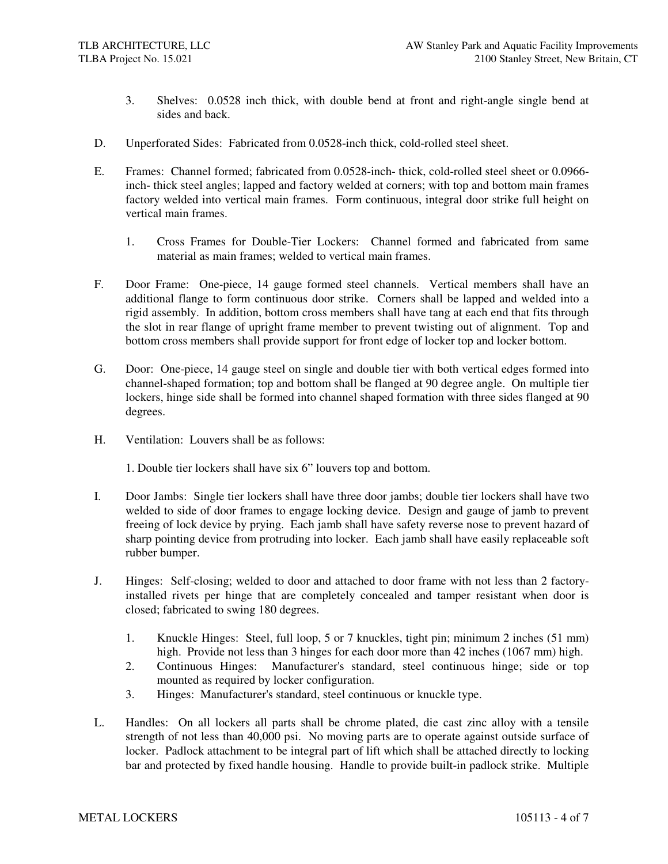- 3. Shelves: 0.0528 inch thick, with double bend at front and right-angle single bend at sides and back.
- D. Unperforated Sides: Fabricated from 0.0528-inch thick, cold-rolled steel sheet.
- E. Frames: Channel formed; fabricated from 0.0528-inch- thick, cold-rolled steel sheet or 0.0966 inch- thick steel angles; lapped and factory welded at corners; with top and bottom main frames factory welded into vertical main frames. Form continuous, integral door strike full height on vertical main frames.
	- 1. Cross Frames for Double-Tier Lockers: Channel formed and fabricated from same material as main frames; welded to vertical main frames.
- F. Door Frame: One-piece, 14 gauge formed steel channels. Vertical members shall have an additional flange to form continuous door strike. Corners shall be lapped and welded into a rigid assembly. In addition, bottom cross members shall have tang at each end that fits through the slot in rear flange of upright frame member to prevent twisting out of alignment. Top and bottom cross members shall provide support for front edge of locker top and locker bottom.
- G. Door: One-piece, 14 gauge steel on single and double tier with both vertical edges formed into channel-shaped formation; top and bottom shall be flanged at 90 degree angle. On multiple tier lockers, hinge side shall be formed into channel shaped formation with three sides flanged at 90 degrees.
- H. Ventilation: Louvers shall be as follows:

1. Double tier lockers shall have six 6" louvers top and bottom.

- I. Door Jambs: Single tier lockers shall have three door jambs; double tier lockers shall have two welded to side of door frames to engage locking device. Design and gauge of jamb to prevent freeing of lock device by prying. Each jamb shall have safety reverse nose to prevent hazard of sharp pointing device from protruding into locker. Each jamb shall have easily replaceable soft rubber bumper.
- J. Hinges: Self-closing; welded to door and attached to door frame with not less than 2 factoryinstalled rivets per hinge that are completely concealed and tamper resistant when door is closed; fabricated to swing 180 degrees.
	- 1. Knuckle Hinges: Steel, full loop, 5 or 7 knuckles, tight pin; minimum 2 inches (51 mm) high. Provide not less than 3 hinges for each door more than 42 inches (1067 mm) high.
	- 2. Continuous Hinges: Manufacturer's standard, steel continuous hinge; side or top mounted as required by locker configuration.
	- 3. Hinges: Manufacturer's standard, steel continuous or knuckle type.
- L. Handles: On all lockers all parts shall be chrome plated, die cast zinc alloy with a tensile strength of not less than 40,000 psi. No moving parts are to operate against outside surface of locker. Padlock attachment to be integral part of lift which shall be attached directly to locking bar and protected by fixed handle housing. Handle to provide built-in padlock strike. Multiple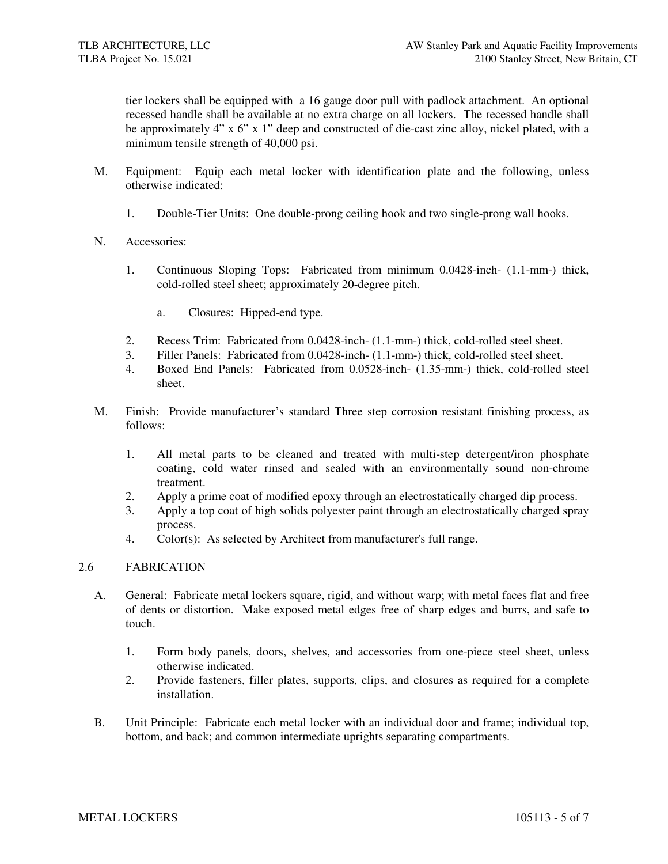tier lockers shall be equipped with a 16 gauge door pull with padlock attachment. An optional recessed handle shall be available at no extra charge on all lockers. The recessed handle shall be approximately 4" x 6" x 1" deep and constructed of die-cast zinc alloy, nickel plated, with a minimum tensile strength of 40,000 psi.

- M. Equipment: Equip each metal locker with identification plate and the following, unless otherwise indicated:
	- 1. Double-Tier Units: One double-prong ceiling hook and two single-prong wall hooks.
- N. Accessories:
	- 1. Continuous Sloping Tops: Fabricated from minimum 0.0428-inch- (1.1-mm-) thick, cold-rolled steel sheet; approximately 20-degree pitch.
		- a. Closures: Hipped-end type.
	- 2. Recess Trim: Fabricated from 0.0428-inch- (1.1-mm-) thick, cold-rolled steel sheet.
	- 3. Filler Panels: Fabricated from 0.0428-inch- (1.1-mm-) thick, cold-rolled steel sheet.
	- 4. Boxed End Panels: Fabricated from 0.0528-inch- (1.35-mm-) thick, cold-rolled steel sheet.
- M. Finish: Provide manufacturer's standard Three step corrosion resistant finishing process, as follows:
	- 1. All metal parts to be cleaned and treated with multi-step detergent/iron phosphate coating, cold water rinsed and sealed with an environmentally sound non-chrome treatment.
	- 2. Apply a prime coat of modified epoxy through an electrostatically charged dip process.
	- 3. Apply a top coat of high solids polyester paint through an electrostatically charged spray process.
	- 4. Color(s): As selected by Architect from manufacturer's full range.

### 2.6 FABRICATION

- A. General: Fabricate metal lockers square, rigid, and without warp; with metal faces flat and free of dents or distortion. Make exposed metal edges free of sharp edges and burrs, and safe to touch.
	- 1. Form body panels, doors, shelves, and accessories from one-piece steel sheet, unless otherwise indicated.
	- 2. Provide fasteners, filler plates, supports, clips, and closures as required for a complete installation.
- B. Unit Principle: Fabricate each metal locker with an individual door and frame; individual top, bottom, and back; and common intermediate uprights separating compartments.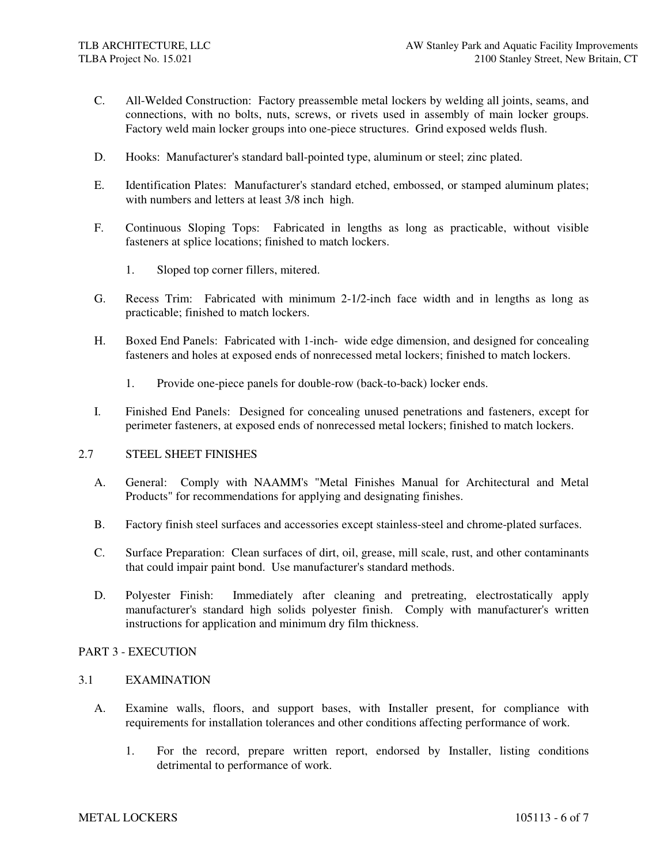- C. All-Welded Construction: Factory preassemble metal lockers by welding all joints, seams, and connections, with no bolts, nuts, screws, or rivets used in assembly of main locker groups. Factory weld main locker groups into one-piece structures. Grind exposed welds flush.
- D. Hooks: Manufacturer's standard ball-pointed type, aluminum or steel; zinc plated.
- E. Identification Plates: Manufacturer's standard etched, embossed, or stamped aluminum plates; with numbers and letters at least 3/8 inch high.
- F. Continuous Sloping Tops: Fabricated in lengths as long as practicable, without visible fasteners at splice locations; finished to match lockers.
	- 1. Sloped top corner fillers, mitered.
- G. Recess Trim: Fabricated with minimum 2-1/2-inch face width and in lengths as long as practicable; finished to match lockers.
- H. Boxed End Panels: Fabricated with 1-inch- wide edge dimension, and designed for concealing fasteners and holes at exposed ends of nonrecessed metal lockers; finished to match lockers.
	- 1. Provide one-piece panels for double-row (back-to-back) locker ends.
- I. Finished End Panels: Designed for concealing unused penetrations and fasteners, except for perimeter fasteners, at exposed ends of nonrecessed metal lockers; finished to match lockers.

#### 2.7 STEEL SHEET FINISHES

- A. General: Comply with NAAMM's "Metal Finishes Manual for Architectural and Metal Products" for recommendations for applying and designating finishes.
- B. Factory finish steel surfaces and accessories except stainless-steel and chrome-plated surfaces.
- C. Surface Preparation: Clean surfaces of dirt, oil, grease, mill scale, rust, and other contaminants that could impair paint bond. Use manufacturer's standard methods.
- D. Polyester Finish: Immediately after cleaning and pretreating, electrostatically apply manufacturer's standard high solids polyester finish. Comply with manufacturer's written instructions for application and minimum dry film thickness.

#### PART 3 - EXECUTION

#### 3.1 EXAMINATION

- A. Examine walls, floors, and support bases, with Installer present, for compliance with requirements for installation tolerances and other conditions affecting performance of work.
	- 1. For the record, prepare written report, endorsed by Installer, listing conditions detrimental to performance of work.